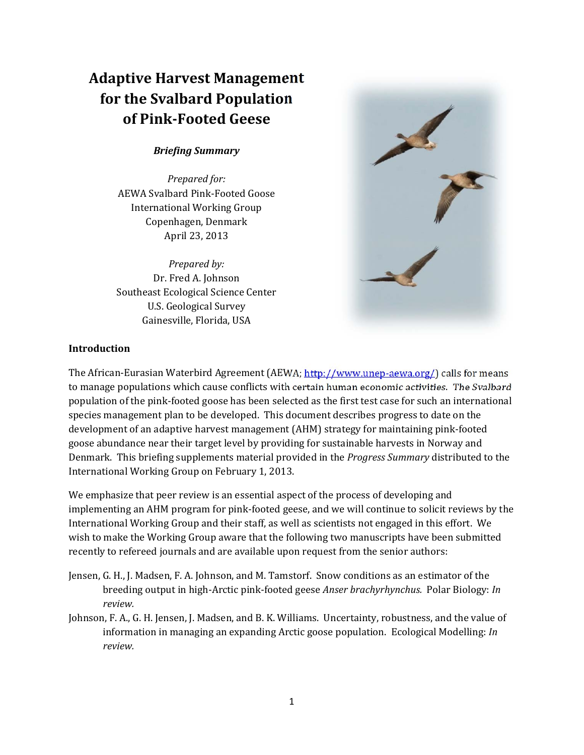# **Adaptive Harvest Management for the Svalbard Population of Pink‐Footed Geese**

## *Briefing Summary*

*Prepared for:* AEWA Svalbard Pink-Footed Goose International Working Group Copenhagen, Denmark April 23, 2013 

*Prepared by:* Dr. Fred A. Johnson Southeast Ecological Science Center U.S. Geological Survey Gainesville, Florida, USA



### **Introduction**

The African-Eurasian Waterbird Agreement (AEWA; http://www.unep-aewa.org/) calls for means to manage populations which cause conflicts with certain human economic activities. The Svalbard population of the pink-footed goose has been selected as the first test case for such an international species management plan to be developed. This document describes progress to date on the development of an adaptive harvest management (AHM) strategy for maintaining pink-footed goose abundance near their target level by providing for sustainable harvests in Norway and Denmark. This briefing supplements material provided in the *Progress Summary* distributed to the International Working Group on February 1, 2013.

We emphasize that peer review is an essential aspect of the process of developing and implementing an AHM program for pink-footed geese, and we will continue to solicit reviews by the International Working Group and their staff, as well as scientists not engaged in this effort. We wish to make the Working Group aware that the following two manuscripts have been submitted recently to refereed journals and are available upon request from the senior authors:

- Jensen, G. H., J. Madsen, F. A. Johnson, and M. Tamstorf. Snow conditions as an estimator of the breeding output in high‐Arctic pink‐footed geese *Anser brachyrhynchus.* Polar Biology: *In review.*
- Johnson, F. A., G. H. Jensen, J. Madsen, and B. K. Williams. Uncertainty, robustness, and the value of information in managing an expanding Arctic goose population. Ecological Modelling: *In review.*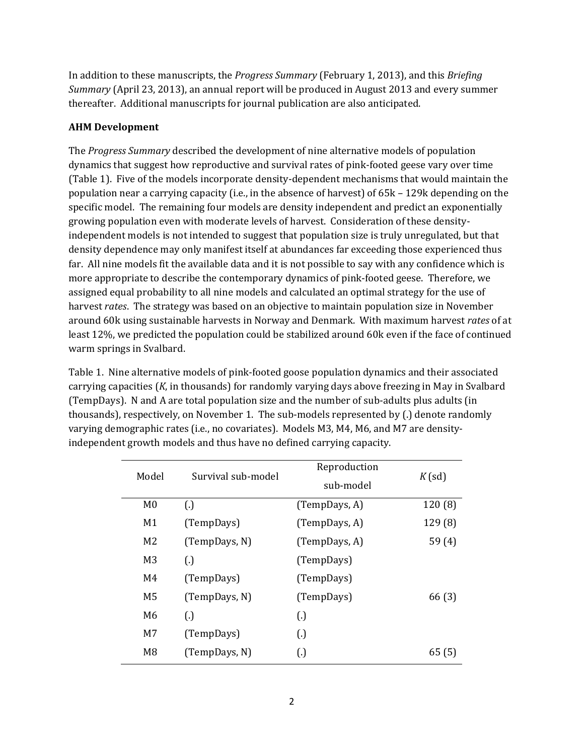In addition to these manuscripts, the *Progress Summary* (February 1, 2013), and this *Briefing Summary* (April 23, 2013), an annual report will be produced in August 2013 and every summer thereafter. Additional manuscripts for journal publication are also anticipated.

## **AHM Development**

The *Progress Summary* described the development of nine alternative models of population dynamics that suggest how reproductive and survival rates of pink-footed geese vary over time (Table 1). Five of the models incorporate density-dependent mechanisms that would maintain the population near a carrying capacity (i.e., in the absence of harvest) of  $65k - 129k$  depending on the specific model. The remaining four models are density independent and predict an exponentially growing population even with moderate levels of harvest. Consideration of these densityindependent models is not intended to suggest that population size is truly unregulated, but that density dependence may only manifest itself at abundances far exceeding those experienced thus far. All nine models fit the available data and it is not possible to say with any confidence which is more appropriate to describe the contemporary dynamics of pink-footed geese. Therefore, we assigned equal probability to all nine models and calculated an optimal strategy for the use of harvest *rates*. The strategy was based on an objective to maintain population size in November around 60k using sustainable harvests in Norway and Denmark. With maximum harvest *rates* of at least 12%, we predicted the population could be stabilized around 60k even if the face of continued warm springs in Svalbard.

Table 1. Nine alternative models of pink-footed goose population dynamics and their associated carrying capacities (*K*, in thousands) for randomly varying days above freezing in May in Svalbard (TempDays). N and A are total population size and the number of sub-adults plus adults (in thousands), respectively, on November 1. The sub-models represented by (.) denote randomly varying demographic rates (i.e., no covariates). Models M3, M4, M6, and M7 are densityindependent growth models and thus have no defined carrying capacity.

| Model          | Survival sub-model | Reproduction<br>sub-model | $K$ (sd) |
|----------------|--------------------|---------------------------|----------|
| M <sub>0</sub> | $\left( .\right)$  | (TempDays, A)             | 120(8)   |
| M1             | (TempDays)         | (TempDays, A)             | 129 (8)  |
| M <sub>2</sub> | (TempDays, N)      | (TempDays, A)             | 59(4)    |
| M <sub>3</sub> | $\left( .\right)$  | (TempDays)                |          |
| M4             | (TempDays)         | (TempDays)                |          |
| M <sub>5</sub> | (TempDays, N)      | (TempDays)                | 66 (3)   |
| M <sub>6</sub> | $\left( .\right)$  | $\left( .\right)$         |          |
| M <sub>7</sub> | (TempDays)         | $\left( .\right)$         |          |
| M <sub>8</sub> | (TempDays, N)      | $\left( .\right)$         | 65(5)    |
|                |                    |                           |          |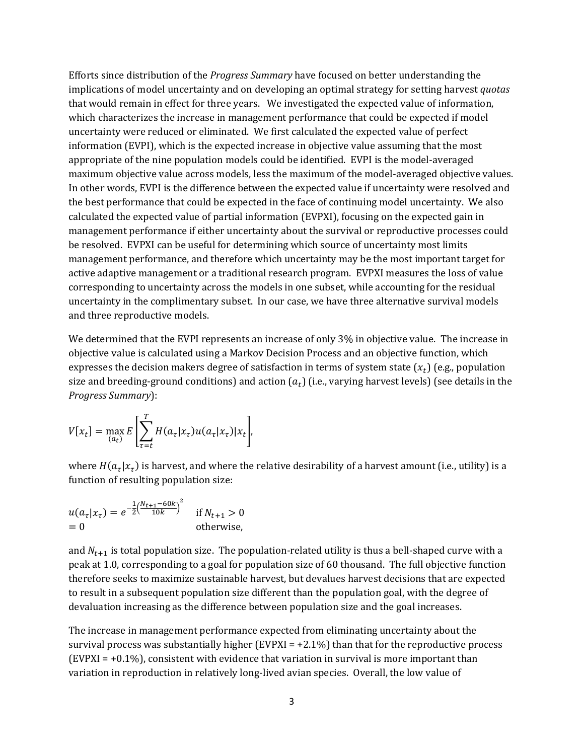Efforts since distribution of the *Progress Summary* have focused on better understanding the implications of model uncertainty and on developing an optimal strategy for setting harvest *quotas* that would remain in effect for three years. We investigated the expected value of information, which characterizes the increase in management performance that could be expected if model uncertainty were reduced or eliminated. We first calculated the expected value of perfect information (EVPI), which is the expected increase in objective value assuming that the most appropriate of the nine population models could be identified. EVPI is the model-averaged maximum objective value across models, less the maximum of the model-averaged objective values. In other words, EVPI is the difference between the expected value if uncertainty were resolved and the best performance that could be expected in the face of continuing model uncertainty. We also calculated the expected value of partial information (EVPXI), focusing on the expected gain in management performance if either uncertainty about the survival or reproductive processes could be resolved. EVPXI can be useful for determining which source of uncertainty most limits management performance, and therefore which uncertainty may be the most important target for active adaptive management or a traditional research program. EVPXI measures the loss of value corresponding to uncertainty across the models in one subset, while accounting for the residual uncertainty in the complimentary subset. In our case, we have three alternative survival models and three reproductive models.

We determined that the EVPI represents an increase of only 3% in objective value. The increase in objective value is calculated using a Markov Decision Process and an objective function, which expresses the decision makers degree of satisfaction in terms of system state  $(x_t)$  (e.g., population size and breeding-ground conditions) and action  $(a_t)$  (i.e., varying harvest levels) (see details in the *Progress Summary*): 

$$
V[x_t] = \max_{(a_t)} E\left[\sum_{\tau=t}^T H(a_\tau | x_\tau) u(a_\tau | x_\tau) | x_t\right],
$$

where  $H(a_\tau|x_\tau)$  is harvest, and where the relative desirability of a harvest amount (i.e., utility) is a function of resulting population size:

$$
u(a_{\tau}|x_{\tau}) = e^{-\frac{1}{2} \left(\frac{N_{t+1} - 60k}{10k}\right)^2}
$$
 if  $N_{t+1} > 0$   
= 0 otherwise,

and  $N_{t+1}$  is total population size. The population-related utility is thus a bell-shaped curve with a peak at 1.0, corresponding to a goal for population size of 60 thousand. The full objective function therefore seeks to maximize sustainable harvest, but devalues harvest decisions that are expected to result in a subsequent population size different than the population goal, with the degree of devaluation increasing as the difference between population size and the goal increases.

The increase in management performance expected from eliminating uncertainty about the survival process was substantially higher (EVPXI =  $+2.1\%$ ) than that for the reproductive process  $(EVPXI = +0.1\%)$ , consistent with evidence that variation in survival is more important than variation in reproduction in relatively long-lived avian species. Overall, the low value of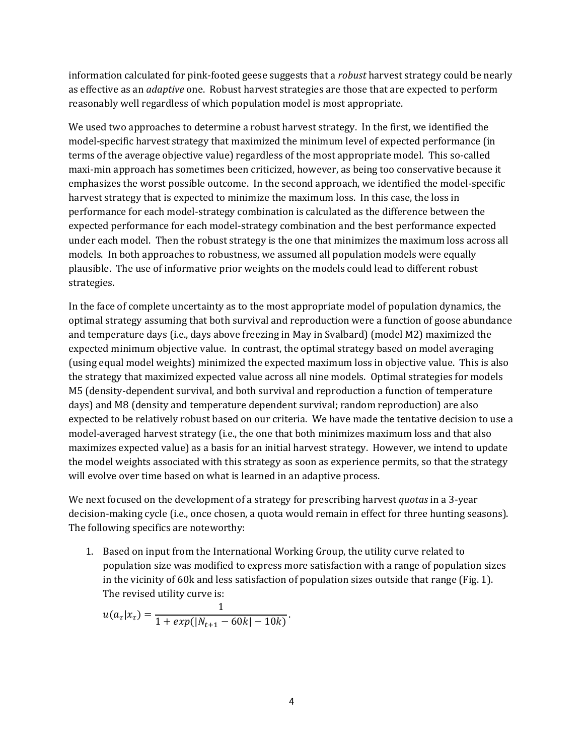information calculated for pink-footed geese suggests that a *robust* harvest strategy could be nearly as effective as an *adaptive* one. Robust harvest strategies are those that are expected to perform reasonably well regardless of which population model is most appropriate.

We used two approaches to determine a robust harvest strategy. In the first, we identified the model-specific harvest strategy that maximized the minimum level of expected performance (in terms of the average objective value) regardless of the most appropriate model. This so-called maxi-min approach has sometimes been criticized, however, as being too conservative because it emphasizes the worst possible outcome. In the second approach, we identified the model-specific harvest strategy that is expected to minimize the maximum loss. In this case, the loss in performance for each model-strategy combination is calculated as the difference between the expected performance for each model-strategy combination and the best performance expected under each model. Then the robust strategy is the one that minimizes the maximum loss across all models. In both approaches to robustness, we assumed all population models were equally plausible. The use of informative prior weights on the models could lead to different robust strategies. 

In the face of complete uncertainty as to the most appropriate model of population dynamics, the optimal strategy assuming that both survival and reproduction were a function of goose abundance and temperature days (i.e., days above freezing in May in Svalbard) (model M2) maximized the expected minimum objective value. In contrast, the optimal strategy based on model averaging (using equal model weights) minimized the expected maximum loss in objective value. This is also the strategy that maximized expected value across all nine models. Optimal strategies for models M5 (density-dependent survival, and both survival and reproduction a function of temperature days) and M8 (density and temperature dependent survival; random reproduction) are also expected to be relatively robust based on our criteria. We have made the tentative decision to use a model-averaged harvest strategy (i.e., the one that both minimizes maximum loss and that also maximizes expected value) as a basis for an initial harvest strategy. However, we intend to update the model weights associated with this strategy as soon as experience permits, so that the strategy will evolve over time based on what is learned in an adaptive process.

We next focused on the development of a strategy for prescribing harvest *quotas* in a 3-year decision-making cycle (i.e., once chosen, a quota would remain in effect for three hunting seasons). The following specifics are noteworthy:

1. Based on input from the International Working Group, the utility curve related to population size was modified to express more satisfaction with a range of population sizes in the vicinity of 60k and less satisfaction of population sizes outside that range (Fig. 1). The revised utility curve is:

$$
u(a_{\tau}|x_{\tau}) = \frac{1}{1 + exp(|N_{t+1} - 60k| - 10k)}.
$$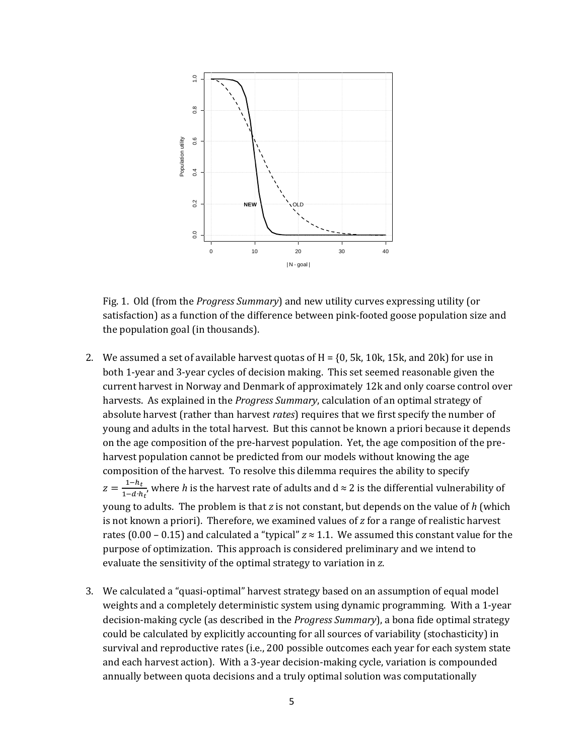

Fig. 1. Old (from the *Progress Summary*) and new utility curves expressing utility (or satisfaction) as a function of the difference between pink-footed goose population size and the population goal (in thousands).

- 2. We assumed a set of available harvest quotas of  $H = \{0, 5k, 10k, 15k,$  and 20k) for use in both 1-year and 3-year cycles of decision making. This set seemed reasonable given the current harvest in Norway and Denmark of approximately 12k and only coarse control over harvests. As explained in the *Progress Summary*, calculation of an optimal strategy of absolute harvest (rather than harvest *rates*) requires that we first specify the number of young and adults in the total harvest. But this cannot be known a priori because it depends on the age composition of the pre-harvest population. Yet, the age composition of the preharvest population cannot be predicted from our models without knowing the age composition of the harvest. To resolve this dilemma requires the ability to specify  $z = \frac{1-h_t}{1-h_t}$  $\frac{1-n_t}{1-d \cdot h_t}$ , where *h* is the harvest rate of adults and d ≈ 2 is the differential vulnerability of young to adults. The problem is that *z* is not constant, but depends on the value of *h* (which is not known a priori). Therefore, we examined values of  $z$  for a range of realistic harvest rates  $(0.00 - 0.15)$  and calculated a "typical"  $z \approx 1.1$ . We assumed this constant value for the purpose of optimization. This approach is considered preliminary and we intend to evaluate the sensitivity of the optimal strategy to variation in z.
- 3. We calculated a "quasi-optimal" harvest strategy based on an assumption of equal model weights and a completely deterministic system using dynamic programming. With a 1-year decision-making cycle (as described in the *Progress Summary*), a bona fide optimal strategy could be calculated by explicitly accounting for all sources of variability (stochasticity) in survival and reproductive rates (i.e., 200 possible outcomes each year for each system state and each harvest action). With a 3-year decision-making cycle, variation is compounded annually between quota decisions and a truly optimal solution was computationally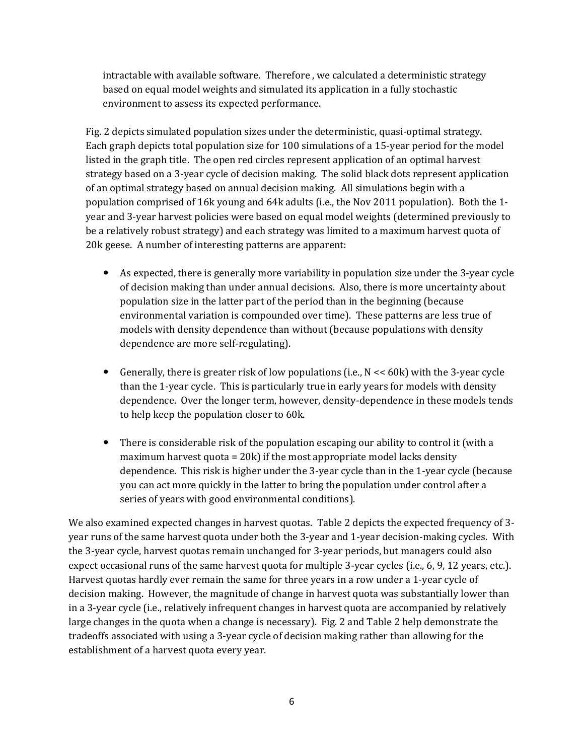intractable with available software. Therefore, we calculated a deterministic strategy based on equal model weights and simulated its application in a fully stochastic environment to assess its expected performance.

Fig. 2 depicts simulated population sizes under the deterministic, quasi-optimal strategy. Each graph depicts total population size for 100 simulations of a 15-year period for the model listed in the graph title. The open red circles represent application of an optimal harvest strategy based on a 3-year cycle of decision making. The solid black dots represent application of an optimal strategy based on annual decision making. All simulations begin with a population comprised of 16k young and 64k adults (i.e., the Nov 2011 population). Both the 1year and 3-year harvest policies were based on equal model weights (determined previously to be a relatively robust strategy) and each strategy was limited to a maximum harvest quota of 20k geese. A number of interesting patterns are apparent:

- As expected, there is generally more variability in population size under the 3-year cycle of decision making than under annual decisions. Also, there is more uncertainty about population size in the latter part of the period than in the beginning (because environmental variation is compounded over time). These patterns are less true of models with density dependence than without (because populations with density dependence are more self-regulating).
- Generally, there is greater risk of low populations (i.e.,  $N \ll 60k$ ) with the 3-year cycle than the 1-year cycle. This is particularly true in early years for models with density dependence. Over the longer term, however, density-dependence in these models tends to help keep the population closer to 60k.
- There is considerable risk of the population escaping our ability to control it (with a maximum harvest quota =  $20k$ ) if the most appropriate model lacks density dependence. This risk is higher under the 3-year cycle than in the 1-year cycle (because you can act more quickly in the latter to bring the population under control after a series of years with good environmental conditions).

We also examined expected changes in harvest quotas. Table 2 depicts the expected frequency of 3year runs of the same harvest quota under both the 3-year and 1-year decision-making cycles. With the 3-year cycle, harvest quotas remain unchanged for 3-year periods, but managers could also expect occasional runs of the same harvest quota for multiple 3-year cycles (i.e., 6, 9, 12 years, etc.). Harvest quotas hardly ever remain the same for three years in a row under a 1-year cycle of decision making. However, the magnitude of change in harvest quota was substantially lower than in a 3-year cycle (i.e., relatively infrequent changes in harvest quota are accompanied by relatively large changes in the quota when a change is necessary). Fig. 2 and Table 2 help demonstrate the tradeoffs associated with using a 3-year cycle of decision making rather than allowing for the establishment of a harvest quota every year.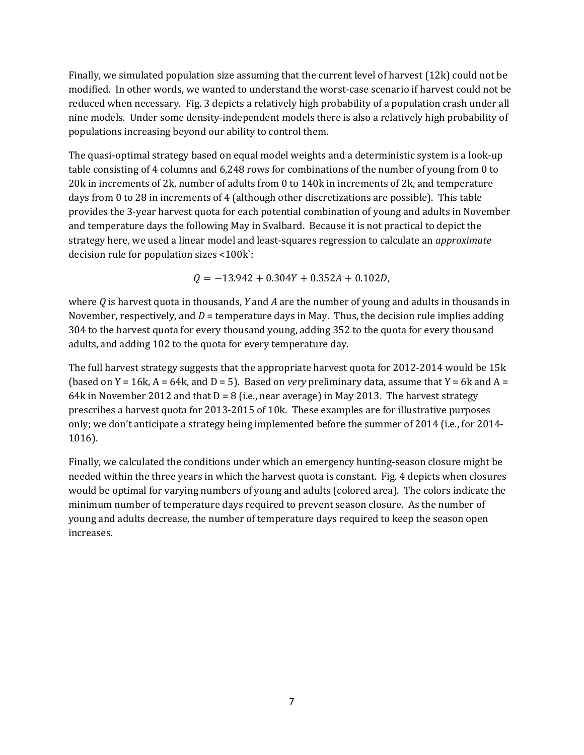Finally, we simulated population size assuming that the current level of harvest  $(12k)$  could not be modified. In other words, we wanted to understand the worst-case scenario if harvest could not be reduced when necessary. Fig. 3 depicts a relatively high probability of a population crash under all nine models. Under some density-independent models there is also a relatively high probability of populations increasing beyond our ability to control them.

The quasi-optimal strategy based on equal model weights and a deterministic system is a look-up table consisting of 4 columns and  $6,248$  rows for combinations of the number of young from 0 to 20k in increments of 2k, number of adults from 0 to 140k in increments of 2k, and temperature days from 0 to 28 in increments of 4 (although other discretizations are possible). This table provides the 3-year harvest quota for each potential combination of young and adults in November and temperature days the following May in Svalbard. Because it is not practical to depict the strategy here, we used a linear model and least-squares regression to calculate an *approximate* decision rule for population sizes  $\leq 100k$ :

 $Q = -13.942 + 0.304Y + 0.352A + 0.102D$ ,

where  $Q$  is harvest quota in thousands,  $Y$  and  $A$  are the number of young and adults in thousands in November, respectively, and  $D =$  temperature days in May. Thus, the decision rule implies adding 304 to the harvest quota for every thousand young, adding 352 to the quota for every thousand adults, and adding 102 to the quota for every temperature day.

The full harvest strategy suggests that the appropriate harvest quota for  $2012$ -2014 would be 15k (based on  $Y = 16k$ ,  $A = 64k$ , and  $D = 5$ ). Based on *very* preliminary data, assume that  $Y = 6k$  and  $A =$ 64k in November 2012 and that  $D = 8$  (i.e., near average) in May 2013. The harvest strategy prescribes a harvest quota for 2013-2015 of 10k. These examples are for illustrative purposes only; we don't anticipate a strategy being implemented before the summer of 2014 (i.e., for 2014-1016). 

Finally, we calculated the conditions under which an emergency hunting-season closure might be needed within the three years in which the harvest quota is constant. Fig. 4 depicts when closures would be optimal for varying numbers of young and adults (colored area). The colors indicate the minimum number of temperature days required to prevent season closure. As the number of young and adults decrease, the number of temperature days required to keep the season open increases.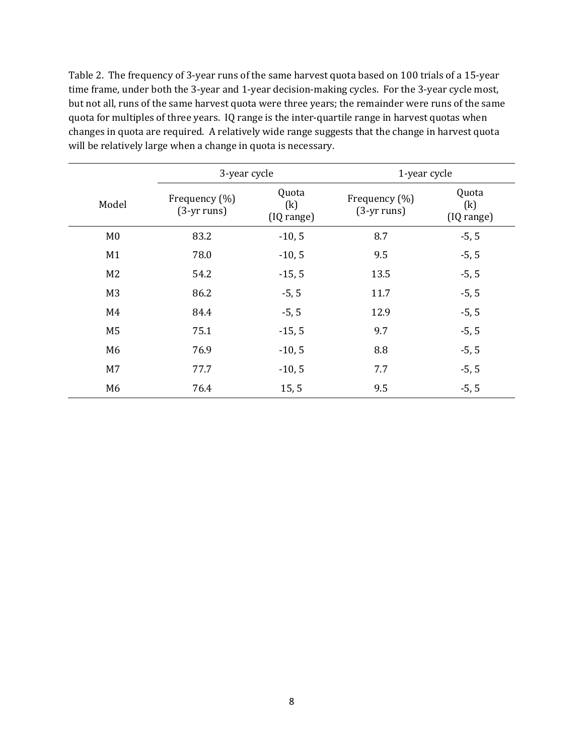Table 2. The frequency of 3-year runs of the same harvest quota based on 100 trials of a 15-year time frame, under both the 3-year and 1-year decision-making cycles. For the 3-year cycle most, but not all, runs of the same harvest quota were three years; the remainder were runs of the same quota for multiples of three years. IQ range is the inter-quartile range in harvest quotas when changes in quota are required. A relatively wide range suggests that the change in harvest quota will be relatively large when a change in quota is necessary.

|                | 3-year cycle                   |                            | 1-year cycle                   |                            |
|----------------|--------------------------------|----------------------------|--------------------------------|----------------------------|
| Model          | Frequency (%)<br>$(3-yr runs)$ | Quota<br>(k)<br>(IQ range) | Frequency (%)<br>$(3-yr runs)$ | Quota<br>(k)<br>(IQ range) |
| M <sub>0</sub> | 83.2                           | $-10, 5$                   | 8.7                            | $-5, 5$                    |
| M1             | 78.0                           | $-10, 5$                   | 9.5                            | $-5, 5$                    |
| M <sub>2</sub> | 54.2                           | $-15, 5$                   | 13.5                           | $-5, 5$                    |
| M <sub>3</sub> | 86.2                           | $-5, 5$                    | 11.7                           | $-5, 5$                    |
| M4             | 84.4                           | $-5, 5$                    | 12.9                           | $-5, 5$                    |
| M <sub>5</sub> | 75.1                           | $-15, 5$                   | 9.7                            | $-5, 5$                    |
| M <sub>6</sub> | 76.9                           | $-10, 5$                   | 8.8                            | $-5, 5$                    |
| M <sub>7</sub> | 77.7                           | $-10, 5$                   | 7.7                            | $-5, 5$                    |
| M <sub>6</sub> | 76.4                           | 15, 5                      | 9.5                            | $-5, 5$                    |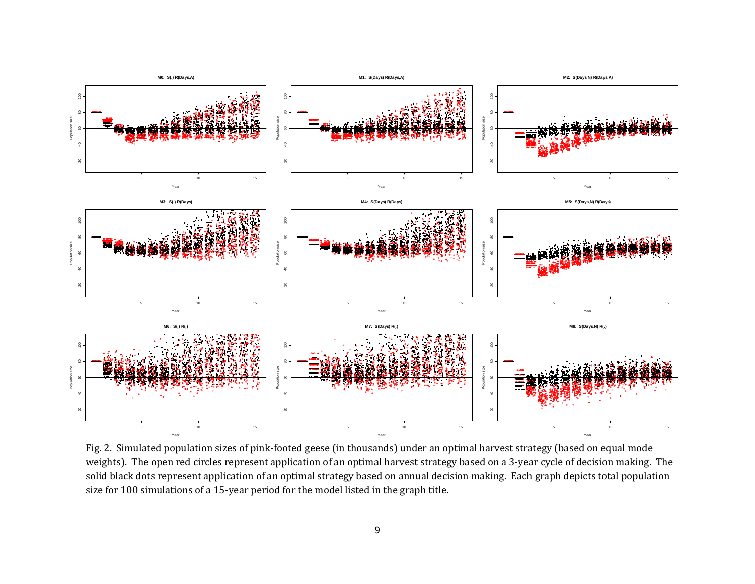

Fig. 2. Simulated population sizes of pink-footed geese (in thousands) under an optimal harvest strategy (based on equal mode weights). The open red circles represent application of an optimal harvest strategy based on a 3-year cycle of decision making. The solid black dots represent application of an optimal strategy based on annual decision making. Each graph depicts total population size for 100 simulations of a 15-year period for the model listed in the graph title.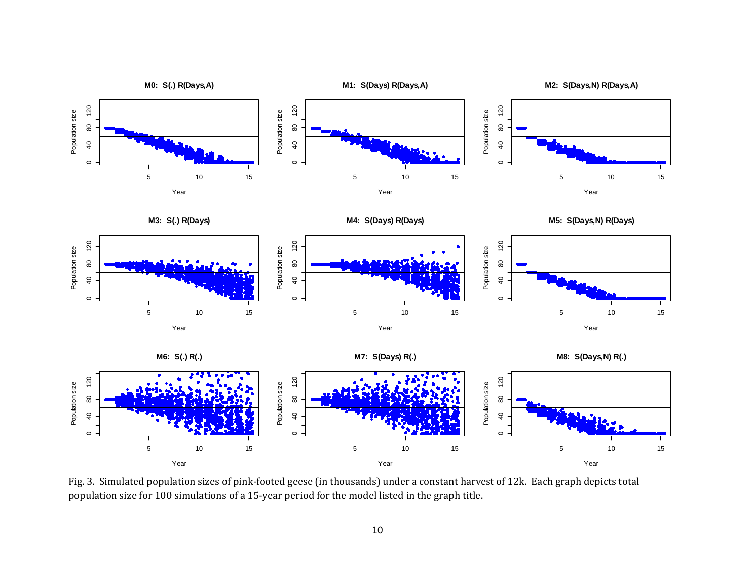

Fig. 3. Simulated population sizes of pink-footed geese (in thousands) under a constant harvest of 12k. Each graph depicts total population size for 100 simulations of a 15-year period for the model listed in the graph title.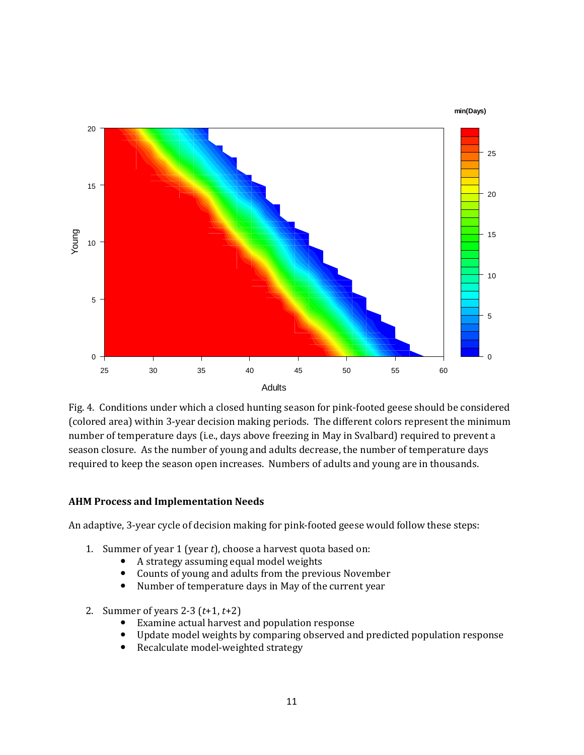

Fig. 4. Conditions under which a closed hunting season for pink-footed geese should be considered (colored area) within 3-year decision making periods. The different colors represent the minimum number of temperature days (i.e., days above freezing in May in Svalbard) required to prevent a season closure. As the number of young and adults decrease, the number of temperature days required to keep the season open increases. Numbers of adults and young are in thousands.

#### **AHM Process and Implementation Needs**

An adaptive, 3-year cycle of decision making for pink-footed geese would follow these steps:

- 1. Summer of year 1 (year  $t$ ), choose a harvest quota based on:
	- A strategy assuming equal model weights
	- Counts of young and adults from the previous November
	- Number of temperature days in May of the current year
- 2. Summer of years  $2-3$   $(t+1, t+2)$ 
	- Examine actual harvest and population response
	- Update model weights by comparing observed and predicted population response
	- Recalculate model-weighted strategy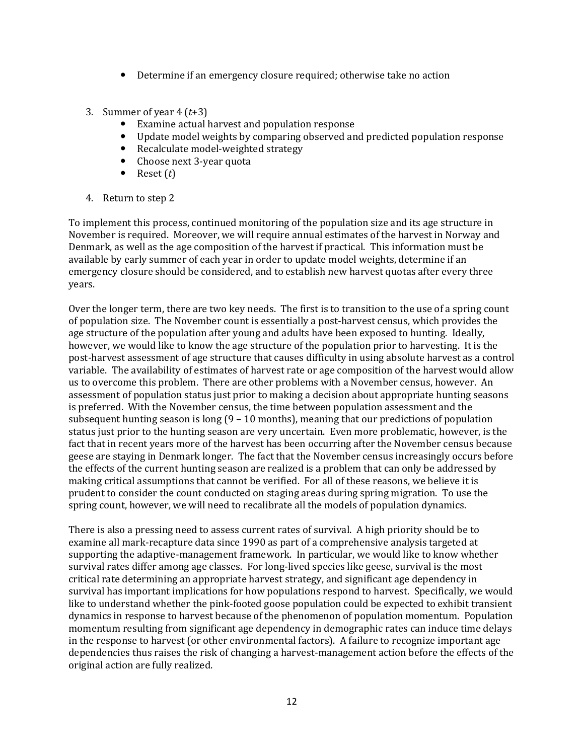- $\bullet$  Determine if an emergency closure required; otherwise take no action
- 3. Summer of year  $4(t+3)$ 
	- Examine actual harvest and population response
	- Update model weights by comparing observed and predicted population response
	- Recalculate model-weighted strategy
	- Choose next 3-year quota
	- Reset  $(t)$
- 4. Return to step 2

To implement this process, continued monitoring of the population size and its age structure in November is required. Moreover, we will require annual estimates of the harvest in Norway and Denmark, as well as the age composition of the harvest if practical. This information must be available by early summer of each year in order to update model weights, determine if an emergency closure should be considered, and to establish new harvest quotas after every three years. 

Over the longer term, there are two key needs. The first is to transition to the use of a spring count of population size. The November count is essentially a post-harvest census, which provides the age structure of the population after young and adults have been exposed to hunting. Ideally, however, we would like to know the age structure of the population prior to harvesting. It is the post-harvest assessment of age structure that causes difficulty in using absolute harvest as a control variable. The availability of estimates of harvest rate or age composition of the harvest would allow us to overcome this problem. There are other problems with a November census, however. An assessment of population status just prior to making a decision about appropriate hunting seasons is preferred. With the November census, the time between population assessment and the subsequent hunting season is long  $(9 - 10 \text{ months})$ , meaning that our predictions of population status just prior to the hunting season are very uncertain. Even more problematic, however, is the fact that in recent years more of the harvest has been occurring after the November census because geese are staying in Denmark longer. The fact that the November census increasingly occurs before the effects of the current hunting season are realized is a problem that can only be addressed by making critical assumptions that cannot be verified. For all of these reasons, we believe it is prudent to consider the count conducted on staging areas during spring migration. To use the spring count, however, we will need to recalibrate all the models of population dynamics.

There is also a pressing need to assess current rates of survival. A high priority should be to examine all mark-recapture data since 1990 as part of a comprehensive analysis targeted at supporting the adaptive-management framework. In particular, we would like to know whether survival rates differ among age classes. For long-lived species like geese, survival is the most critical rate determining an appropriate harvest strategy, and significant age dependency in survival has important implications for how populations respond to harvest. Specifically, we would like to understand whether the pink-footed goose population could be expected to exhibit transient dynamics in response to harvest because of the phenomenon of population momentum. Population momentum resulting from significant age dependency in demographic rates can induce time delays in the response to harvest (or other environmental factors). A failure to recognize important age dependencies thus raises the risk of changing a harvest-management action before the effects of the original action are fully realized.